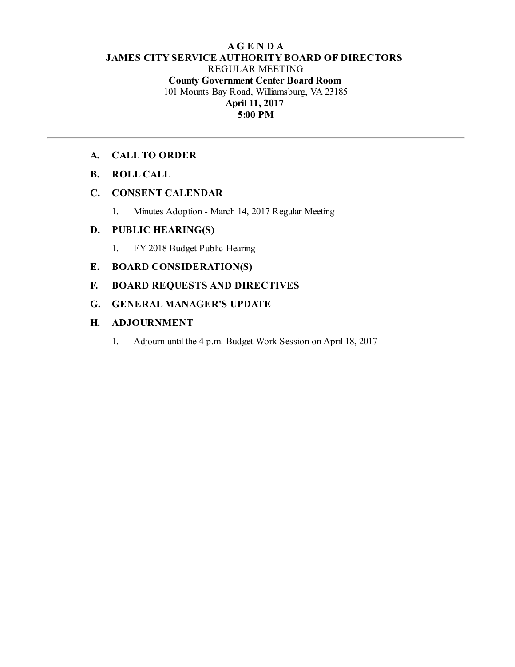## **AG E N D A JAMES CITY SERVICE AUTHORITY BOARD OF DIRECTORS** REGULAR MEETING **County Government Center Board Room** 101 Mounts Bay Road, Williamsburg, VA 23185 **April 11, 2017 5:00 PM**

### **A. CALL TO ORDER**

### **B. ROLL CALL**

### **C. CONSENT CALENDAR**

1. Minutes Adoption - March 14, 2017 Regular Meeting

### **D. PUBLIC HEARING(S)**

1. FY 2018 Budget Public Hearing

### **E. BOARD CONSIDERATION(S)**

**F. BOARD REQUESTS AND DIRECTIVES**

### **G. GENERAL MANAGER'S UPDATE**

### **H. ADJOURNMENT**

1. Adjourn until the 4 p.m. Budget Work Session on April 18, 2017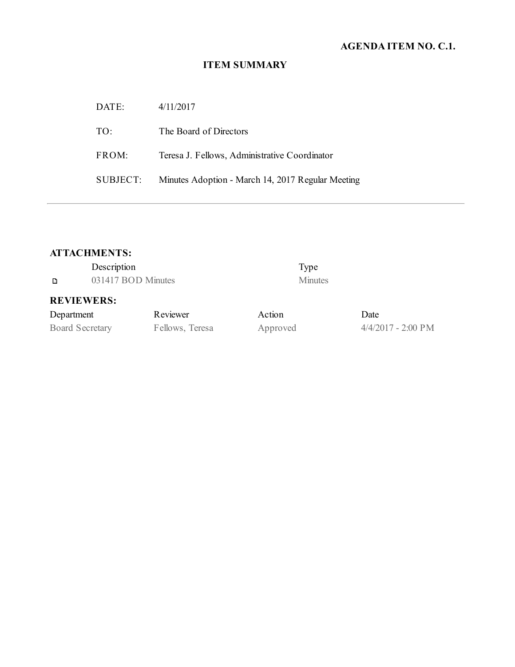# **AGENDA ITEM NO. C.1.**

# **ITEM SUMMARY**

| DATE:    | 4/11/2017                                         |
|----------|---------------------------------------------------|
| TO:      | The Board of Directors                            |
| FROM:    | Teresa J. Fellows, Administrative Coordinator     |
| SUBJECT: | Minutes Adoption - March 14, 2017 Regular Meeting |

# **ATTACHMENTS:**

|                   | Description        |          |        | Type           |  |
|-------------------|--------------------|----------|--------|----------------|--|
| D                 | 031417 BOD Minutes |          |        | <b>Minutes</b> |  |
| <b>REVIEWERS:</b> |                    |          |        |                |  |
| Department        |                    | Reviewer | Action | Date           |  |

Board Secretary Fellows, Teresa Approved 4/4/2017 - 2:00 PM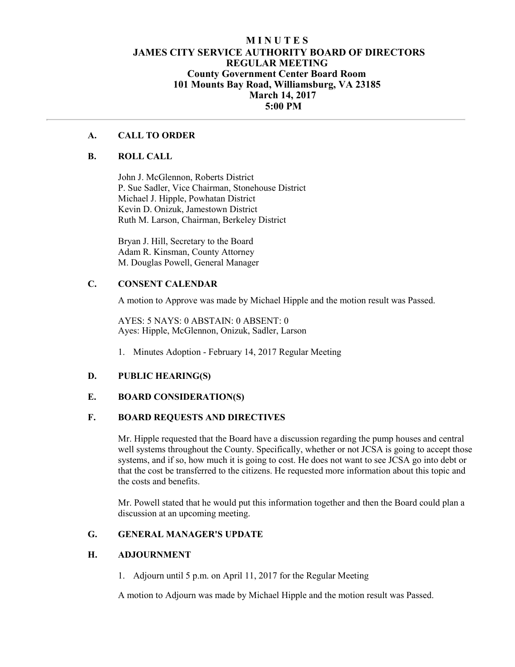#### **M I N U T E S JAMES CITY SERVICE AUTHORITY BOARD OF DIRECTORS REGULAR MEETING County Government Center Board Room 101 Mounts Bay Road, Williamsburg, VA 23185 March 14, 2017 5:00 PM**

#### **A. CALL TO ORDER**

#### **B. ROLL CALL**

 John J. McGlennon, Roberts District P. Sue Sadler, Vice Chairman, Stonehouse District Michael J. Hipple, Powhatan District Kevin D. Onizuk, Jamestown District Ruth M. Larson, Chairman, Berkeley District

Bryan J. Hill, Secretary to the Board Adam R. Kinsman, County Attorney M. Douglas Powell, General Manager

### **C. CONSENT CALENDAR**

A motion to Approve was made by Michael Hipple and the motion result was Passed.

AYES: 5 NAYS: 0 ABSTAIN: 0 ABSENT: 0 Ayes: Hipple, McGlennon, Onizuk, Sadler, Larson

1. Minutes Adoption - February 14, 2017 Regular Meeting

#### **D. PUBLIC HEARING(S)**

#### **E. BOARD CONSIDERATION(S)**

### **F. BOARD REQUESTS AND DIRECTIVES**

 Mr. Hipple requested that the Board have a discussion regarding the pump houses and central well systems throughout the County. Specifically, whether or not JCSA is going to accept those systems, and if so, how much it is going to cost. He does not want to see JCSA go into debt or that the cost be transferred to the citizens. He requested more information about this topic and the costs and benefits.

 Mr. Powell stated that he would put this information together and then the Board could plan a discussion at an upcoming meeting.

#### **G. GENERAL MANAGER'S UPDATE**

#### **H. ADJOURNMENT**

1. Adjourn until 5 p.m. on April 11, 2017 for the Regular Meeting

A motion to Adjourn was made by Michael Hipple and the motion result was Passed.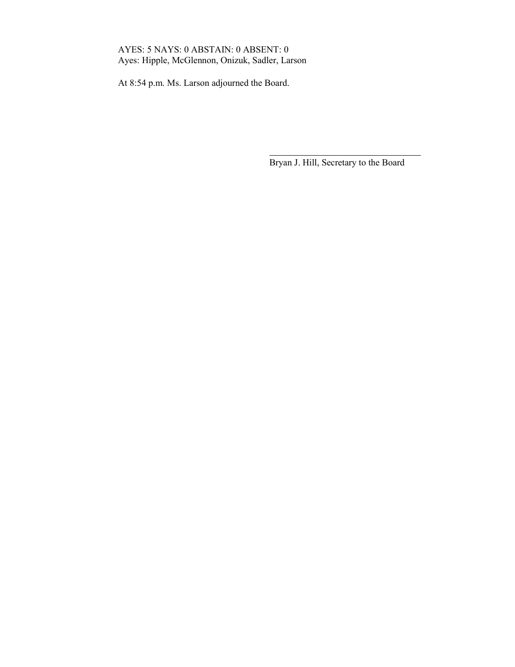AYES: 5 NAYS: 0 ABSTAIN: 0 ABSENT: 0 Ayes: Hipple, McGlennon, Onizuk, Sadler, Larson

At 8:54 p.m. Ms. Larson adjourned the Board.

Bryan J. Hill, Secretary to the Board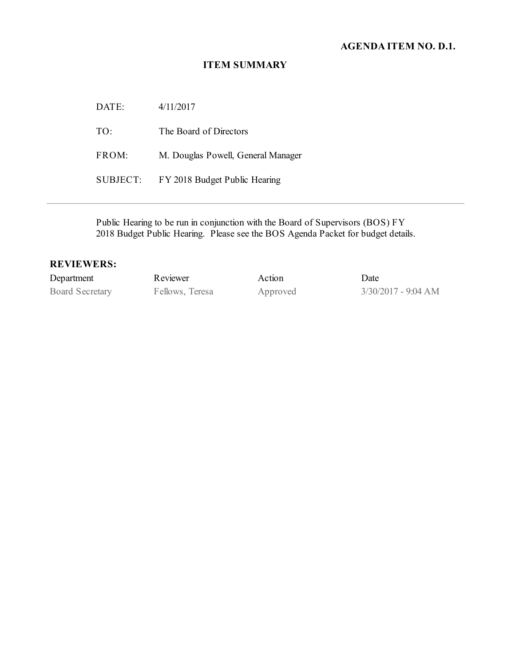# **AGENDA ITEM NO. D.1.**

## **ITEM SUMMARY**

| DATE:    | 4/11/2017                          |
|----------|------------------------------------|
| TO:      | The Board of Directors             |
| FROM:    | M. Douglas Powell, General Manager |
| SUBJECT: | FY 2018 Budget Public Hearing      |

Public Hearing to be run in conjunction with the Board of Supervisors (BOS) FY 2018 Budget Public Hearing. Please see the BOS Agenda Packet for budget details.

### **REVIEWERS:**

| Department             | Reviewer        | Action   | Date                  |
|------------------------|-----------------|----------|-----------------------|
| <b>Board Secretary</b> | Fellows, Teresa | Approved | $3/30/2017 - 9:04 AM$ |